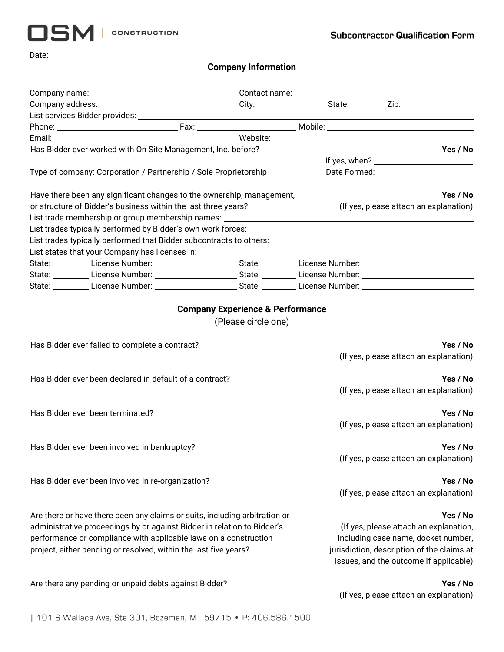

Date:

## **Company Information**

| Has Bidder ever worked with On Site Management, Inc. before?                                                                                                                                                                                                                                  |  | Yes / No                                                                                                                                                                          |
|-----------------------------------------------------------------------------------------------------------------------------------------------------------------------------------------------------------------------------------------------------------------------------------------------|--|-----------------------------------------------------------------------------------------------------------------------------------------------------------------------------------|
|                                                                                                                                                                                                                                                                                               |  |                                                                                                                                                                                   |
| Type of company: Corporation / Partnership / Sole Proprietorship                                                                                                                                                                                                                              |  |                                                                                                                                                                                   |
| Have there been any significant changes to the ownership, management,                                                                                                                                                                                                                         |  | Yes / No                                                                                                                                                                          |
| or structure of Bidder's business within the last three years?                                                                                                                                                                                                                                |  | (If yes, please attach an explanation)                                                                                                                                            |
|                                                                                                                                                                                                                                                                                               |  |                                                                                                                                                                                   |
|                                                                                                                                                                                                                                                                                               |  |                                                                                                                                                                                   |
|                                                                                                                                                                                                                                                                                               |  |                                                                                                                                                                                   |
| List states that your Company has licenses in:                                                                                                                                                                                                                                                |  |                                                                                                                                                                                   |
| State: License Number: 1988 1998 1998 1998 1999 10: State: Communication Cicense Number: 2008 1999 1999 10: 1                                                                                                                                                                                 |  |                                                                                                                                                                                   |
|                                                                                                                                                                                                                                                                                               |  |                                                                                                                                                                                   |
| State: License Number: 1988 Connection State: 1988 Connection Connection Connection Connection Connection Conne                                                                                                                                                                               |  |                                                                                                                                                                                   |
| Has Bidder ever failed to complete a contract?                                                                                                                                                                                                                                                |  | Yes / No<br>(If yes, please attach an explanation)                                                                                                                                |
| Has Bidder ever been declared in default of a contract?                                                                                                                                                                                                                                       |  | Yes / No<br>(If yes, please attach an explanation)                                                                                                                                |
|                                                                                                                                                                                                                                                                                               |  |                                                                                                                                                                                   |
| Has Bidder ever been terminated?                                                                                                                                                                                                                                                              |  | Yes / No<br>(If yes, please attach an explanation)                                                                                                                                |
| Has Bidder ever been involved in bankruptcy?                                                                                                                                                                                                                                                  |  | Yes / No                                                                                                                                                                          |
|                                                                                                                                                                                                                                                                                               |  | (If yes, please attach an explanation)                                                                                                                                            |
| Has Bidder ever been involved in re-organization?                                                                                                                                                                                                                                             |  | Yes / No<br>(If yes, please attach an explanation)                                                                                                                                |
| Are there or have there been any claims or suits, including arbitration or<br>administrative proceedings by or against Bidder in relation to Bidder's<br>performance or compliance with applicable laws on a construction<br>project, either pending or resolved, within the last five years? |  | Yes / No<br>(If yes, please attach an explanation,<br>including case name, docket number,<br>jurisdiction, description of the claims at<br>issues, and the outcome if applicable) |
| Are there any pending or unpaid debts against Bidder?                                                                                                                                                                                                                                         |  | Yes / No<br>(If yes, please attach an explanation)                                                                                                                                |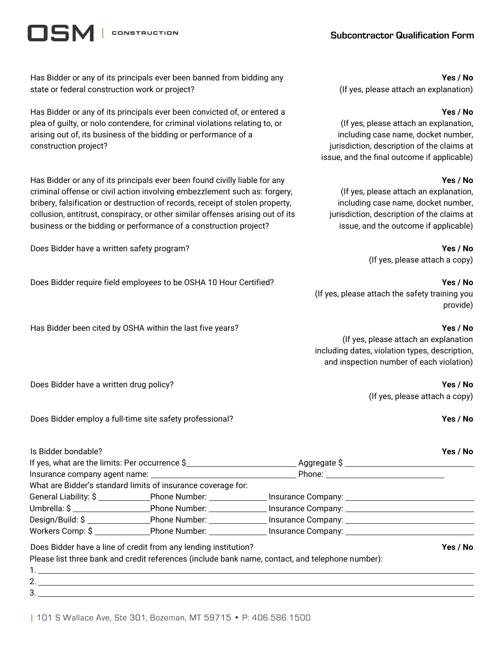# **Subcontractor Qualification Form**

**CONSTRUCTION** 

15M

Has Bidder or any of its principals ever been banned from bidding any state or federal construction work or project?

Has Bidder or any of its principals ever been convicted of, or entered a plea of guilty, or nolo contendere, for criminal violations relating to, or arising out of, its business of the bidding or performance of a construction project?

Has Bidder or any of its principals ever been found civilly liable for any criminal offense or civil action involving embezzlement such as: forgery, bribery, falsification or destruction of records, receipt of stolen property, collusion, antitrust, conspiracy, or other similar offenses arising out of its business or the bidding or performance of a construction project?

Does Bidder have a written safety program? **Yes / No**

Does Bidder require field employees to be OSHA 10 Hour Certified? **Yes / No**

Has Bidder been cited by OSHA within the last five years? **Yes / No**

### **Yes / No**

(If yes, please attach an explanation)

#### **Yes / No**

(If yes, please attach an explanation, including case name, docket number, jurisdiction, description of the claims at issue, and the final outcome if applicable)

### **Yes / No**

(If yes, please attach an explanation, including case name, docket number, jurisdiction, description of the claims at issue, and the outcome if applicable)

(If yes, please attach a copy)

(If yes, please attach a copy)

(If yes, please attach the safety training you provide)

(If yes, please attach an explanation including dates, violation types, description, and inspection number of each violation)

Does Bidder have a written drug policy? **Yes / No**

Does Bidder employ a full-time site safety professional? **Yes / No**

| Is Bidder bondable? |                                                                 |                                                                                                                 | Yes / No |
|---------------------|-----------------------------------------------------------------|-----------------------------------------------------------------------------------------------------------------|----------|
|                     |                                                                 |                                                                                                                 |          |
|                     |                                                                 |                                                                                                                 |          |
|                     | What are Bidder's standard limits of insurance coverage for:    |                                                                                                                 |          |
|                     |                                                                 | General Liability: \$ _______________Phone Number: ________________ Insurance Company: ________________________ |          |
|                     |                                                                 | Umbrella: \$ ___________________________Phone Number: __________________Insurance Company: ____________________ |          |
|                     |                                                                 | Design/Build: \$ __________________Phone Number: ________________ Insurance Company: __________________________ |          |
|                     |                                                                 | Workers Comp: \$ _______________Phone Number: _______________ Insurance Company: ______________________________ |          |
|                     | Does Bidder have a line of credit from any lending institution? |                                                                                                                 | Yes / No |
|                     |                                                                 | Please list three bank and credit references (include bank name, contact, and telephone number):                |          |
|                     |                                                                 |                                                                                                                 |          |
| 2.                  |                                                                 |                                                                                                                 |          |
|                     |                                                                 |                                                                                                                 |          |

3.